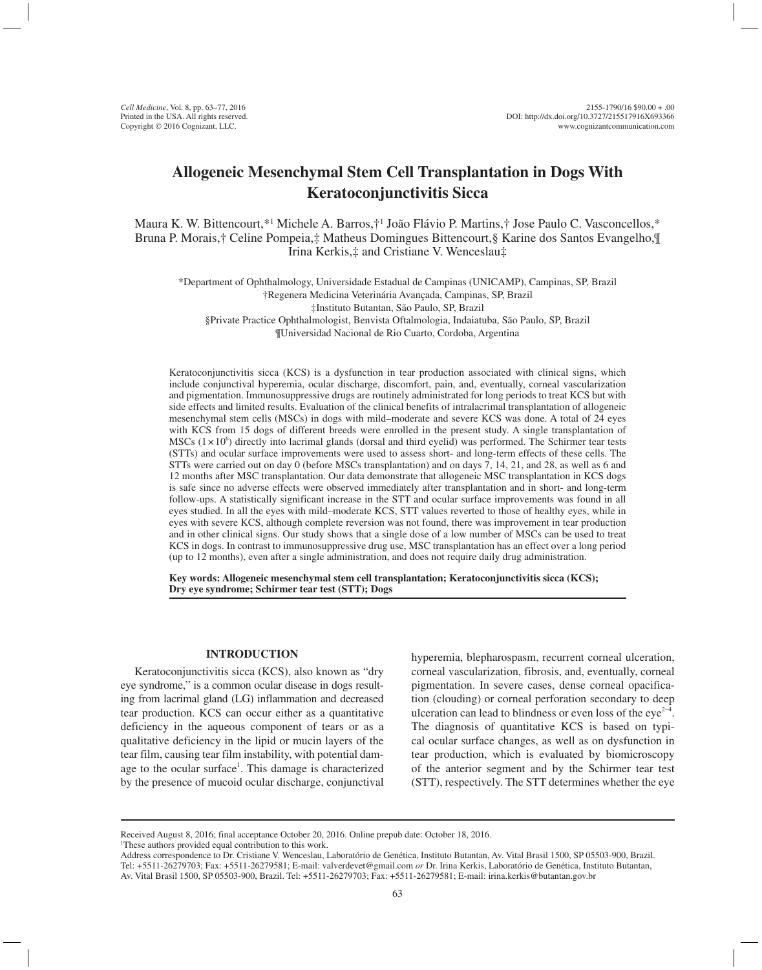# **Allogeneic Mesenchymal Stem Cell Transplantation in Dogs With Keratoconjunctivitis Sicca**

Maura K. W. Bittencourt,\*1 Michele A. Barros,†1 João Flávio P. Martins,† Jose Paulo C. Vasconcellos,\* Bruna P. Morais,† Celine Pompeia,‡ Matheus Domingues Bittencourt,§ Karine dos Santos Evangelho,¶ Irina Kerkis,‡ and Cristiane V. Wenceslau‡

\*Department of Ophthalmology, Universidade Estadual de Campinas (UNICAMP), Campinas, SP, Brazil †Regenera Medicina Veterinária Avançada, Campinas, SP, Brazil ‡Instituto Butantan, São Paulo, SP, Brazil §Private Practice Ophthalmologist, Benvista Oftalmologia, Indaiatuba, São Paulo, SP, Brazil ¶Universidad Nacional de Rio Cuarto, Cordoba, Argentina

Keratoconjunctivitis sicca (KCS) is a dysfunction in tear production associated with clinical signs, which include conjunctival hyperemia, ocular discharge, discomfort, pain, and, eventually, corneal vascularization and pigmentation. Immunosuppressive drugs are routinely administrated for long periods to treat KCS but with side effects and limited results. Evaluation of the clinical benefits of intralacrimal transplantation of allogeneic mesenchymal stem cells (MSCs) in dogs with mild–moderate and severe KCS was done. A total of 24 eyes with KCS from 15 dogs of different breeds were enrolled in the present study. A single transplantation of MSCs  $(1 \times 10^6)$  directly into lacrimal glands (dorsal and third eyelid) was performed. The Schirmer tear tests (STTs) and ocular surface improvements were used to assess short- and long-term effects of these cells. The STTs were carried out on day 0 (before MSCs transplantation) and on days 7, 14, 21, and 28, as well as 6 and 12 months after MSC transplantation. Our data demonstrate that allogeneic MSC transplantation in KCS dogs is safe since no adverse effects were observed immediately after transplantation and in short- and long-term follow-ups. A statistically significant increase in the STT and ocular surface improvements was found in all eyes studied. In all the eyes with mild–moderate KCS, STT values reverted to those of healthy eyes, while in eyes with severe KCS, although complete reversion was not found, there was improvement in tear production and in other clinical signs. Our study shows that a single dose of a low number of MSCs can be used to treat KCS in dogs. In contrast to immunosuppressive drug use, MSC transplantation has an effect over a long period (up to 12 months), even after a single administration, and does not require daily drug administration.

**Key words: Allogeneic mesenchymal stem cell transplantation; Keratoconjunctivitis sicca (KCS); Dry eye syndrome; Schirmer tear test (STT); Dogs**

## **INTRODUCTION**

Keratoconjunctivitis sicca (KCS), also known as "dry eye syndrome," is a common ocular disease in dogs resulting from lacrimal gland (LG) inflammation and decreased tear production. KCS can occur either as a quantitative deficiency in the aqueous component of tears or as a qualitative deficiency in the lipid or mucin layers of the tear film, causing tear film instability, with potential damage to the ocular surface<sup>1</sup>. This damage is characterized by the presence of mucoid ocular discharge, conjunctival

hyperemia, blepharospasm, recurrent corneal ulceration, corneal vascularization, fibrosis, and, eventually, corneal pigmentation. In severe cases, dense corneal opacification (clouding) or corneal perforation secondary to deep ulceration can lead to blindness or even loss of the eye<sup> $2-4$ </sup>. The diagnosis of quantitative KCS is based on typical ocular surface changes, as well as on dysfunction in tear production, which is evaluated by biomicroscopy of the anterior segment and by the Schirmer tear test (STT), respectively. The STT determines whether the eye

Received August 8, 2016; final acceptance October 20, 2016. Online prepub date: October 18, 2016.

<sup>&</sup>lt;sup>1</sup>These authors provided equal contribution to this work.

Address correspondence to Dr. Cristiane V. Wenceslau, Laboratório de Genética, Instituto Butantan, Av. Vital Brasil 1500, SP 05503-900, Brazil. Tel: +5511-26279703; Fax: +5511-26279581; E-mail: valverdevet@gmail.com *or* Dr. Irina Kerkis, Laboratório de Genética, Instituto Butantan, Av. Vital Brasil 1500, SP 05503-900, Brazil. Tel: +5511-26279703; Fax: +5511-26279581; E-mail: irina.kerkis@butantan.gov.br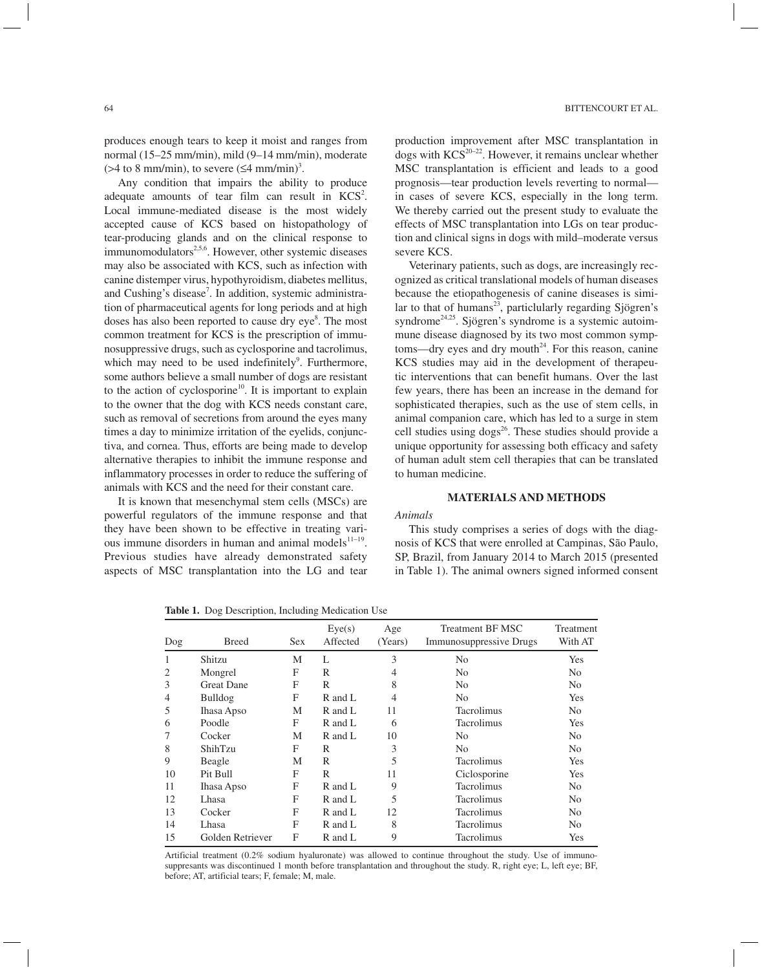produces enough tears to keep it moist and ranges from normal (15–25 mm/min), mild (9–14 mm/min), moderate  $($ >4 to 8 mm/min), to severe  $($ ≤4 mm/min $)$ <sup>3</sup>.

Any condition that impairs the ability to produce adequate amounts of tear film can result in  $KCS<sup>2</sup>$ . Local immune-mediated disease is the most widely accepted cause of KCS based on histopathology of tear-producing glands and on the clinical response to  $immunomodulators<sup>2,5,6</sup>$ . However, other systemic diseases may also be associated with KCS, such as infection with canine distemper virus, hypothyroidism, diabetes mellitus, and Cushing's disease<sup>7</sup>. In addition, systemic administration of pharmaceutical agents for long periods and at high doses has also been reported to cause dry eye<sup>8</sup>. The most common treatment for KCS is the prescription of immunosuppressive drugs, such as cyclosporine and tacrolimus, which may need to be used indefinitely<sup>9</sup>. Furthermore, some authors believe a small number of dogs are resistant to the action of cyclosporine<sup>10</sup>. It is important to explain to the owner that the dog with KCS needs constant care, such as removal of secretions from around the eyes many times a day to minimize irritation of the eyelids, conjunctiva, and cornea. Thus, efforts are being made to develop alternative therapies to inhibit the immune response and inflammatory processes in order to reduce the suffering of animals with KCS and the need for their constant care.

It is known that mesenchymal stem cells (MSCs) are powerful regulators of the immune response and that they have been shown to be effective in treating various immune disorders in human and animal models $11-19$ . Previous studies have already demonstrated safety aspects of MSC transplantation into the LG and tear

production improvement after MSC transplantation in dogs with  $KCS^{20-22}$ . However, it remains unclear whether MSC transplantation is efficient and leads to a good prognosis—tear production levels reverting to normal in cases of severe KCS, especially in the long term. We thereby carried out the present study to evaluate the effects of MSC transplantation into LGs on tear production and clinical signs in dogs with mild–moderate versus severe KCS.

Veterinary patients, such as dogs, are increasingly recognized as critical translational models of human diseases because the etiopathogenesis of canine diseases is similar to that of humans<sup>23</sup>, particlularly regarding Sjögren's syndrome<sup>24,25</sup>. Sjögren's syndrome is a systemic autoimmune disease diagnosed by its two most common symptoms—dry eyes and dry mouth<sup>24</sup>. For this reason, canine KCS studies may aid in the development of therapeutic interventions that can benefit humans. Over the last few years, there has been an increase in the demand for sophisticated therapies, such as the use of stem cells, in animal companion care, which has led to a surge in stem cell studies using dogs<sup>26</sup>. These studies should provide a unique opportunity for assessing both efficacy and safety of human adult stem cell therapies that can be translated to human medicine.

# **MATERIALS AND METHODS**

# *Animals*

This study comprises a series of dogs with the diagnosis of KCS that were enrolled at Campinas, São Paulo, SP, Brazil, from January 2014 to March 2015 (presented in Table 1). The animal owners signed informed consent

| Dog            | <b>Breed</b>      | <b>Sex</b> | Eye(s)<br>Affected | Age<br>(Years) | <b>Treatment BF MSC</b><br><b>Immunosuppressive Drugs</b> | Treatment<br>With AT |
|----------------|-------------------|------------|--------------------|----------------|-----------------------------------------------------------|----------------------|
|                | Shitzu            | M          | L                  | 3              | N <sub>0</sub>                                            | <b>Yes</b>           |
| $\overline{2}$ | Mongrel           | F          | R                  | 4              | N <sub>0</sub>                                            | N <sub>0</sub>       |
| 3              | <b>Great Dane</b> | F          | R                  | 8              | N <sub>0</sub>                                            | N <sub>0</sub>       |
| 4              | Bulldog           | F          | R and L            | 4              | N <sub>0</sub>                                            | <b>Yes</b>           |
| 5              | Ihasa Apso        | М          | R and L            | 11             | <b>Tacrolimus</b>                                         | N <sub>0</sub>       |
| 6              | Poodle            | F          | $R$ and $L$        | 6              | Tacrolimus                                                | <b>Yes</b>           |
|                | Cocker            | М          | R and L            | 10             | N <sub>0</sub>                                            | N <sub>0</sub>       |
| 8              | ShihTzu           | F          | R                  | 3              | N <sub>0</sub>                                            | N <sub>0</sub>       |
| 9              | Beagle            | M          | R                  | 5              | <b>Tacrolimus</b>                                         | Yes                  |
| 10             | Pit Bull          | F          | R                  | 11             | Ciclosporine                                              | <b>Yes</b>           |
| 11             | Ihasa Apso        | F          | $R$ and $L$        | 9              | Tacrolimus                                                | N <sub>0</sub>       |
| 12             | Lhasa             | F          | R and L            | 5              | Tacrolimus                                                | N <sub>0</sub>       |
| 13             | Cocker            | F          | $R$ and $L$        | 12             | Tacrolimus                                                | N <sub>0</sub>       |
| 14             | Lhasa             | F          | $R$ and $L$        | 8              | Tacrolimus                                                | N <sub>0</sub>       |
| 15             | Golden Retriever  | F          | R and L            | 9              | Tacrolimus                                                | Yes                  |

**Table 1.** Dog Description, Including Medication Use

Artificial treatment (0.2% sodium hyaluronate) was allowed to continue throughout the study. Use of immunosuppresants was discontinued 1 month before transplantation and throughout the study. R, right eye; L, left eye; BF, before; AT, artificial tears; F, female; M, male.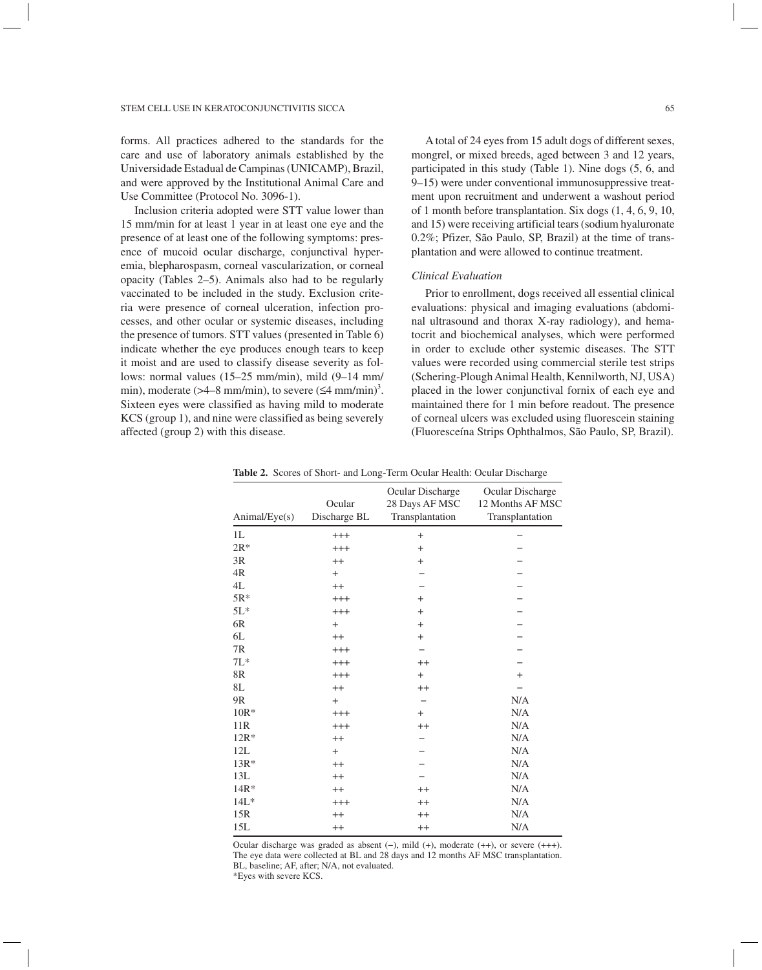forms. All practices adhered to the standards for the care and use of laboratory animals established by the Universidade Estadual de Campinas (UNICAMP), Brazil, and were approved by the Institutional Animal Care and Use Committee (Protocol No. 3096-1).

Inclusion criteria adopted were STT value lower than 15 mm/min for at least 1 year in at least one eye and the presence of at least one of the following symptoms: presence of mucoid ocular discharge, conjunctival hyperemia, blepharospasm, corneal vascularization, or corneal opacity (Tables 2–5). Animals also had to be regularly vaccinated to be included in the study. Exclusion criteria were presence of corneal ulceration, infection processes, and other ocular or systemic diseases, including the presence of tumors. STT values (presented in Table 6) indicate whether the eye produces enough tears to keep it moist and are used to classify disease severity as follows: normal values (15–25 mm/min), mild (9–14 mm/ min), moderate ( $>4-8$  mm/min), to severe ( $\leq 4$  mm/min)<sup>3</sup>. Sixteen eyes were classified as having mild to moderate KCS (group 1), and nine were classified as being severely affected (group 2) with this disease.

A total of 24 eyes from 15 adult dogs of different sexes, mongrel, or mixed breeds, aged between 3 and 12 years, participated in this study (Table 1). Nine dogs (5, 6, and 9–15) were under conventional immunosuppressive treatment upon recruitment and underwent a washout period of 1 month before transplantation. Six dogs (1, 4, 6, 9, 10, and 15) were receiving artificial tears (sodium hyaluronate 0.2%; Pfizer, São Paulo, SP, Brazil) at the time of transplantation and were allowed to continue treatment.

# *Clinical Evaluation*

Prior to enrollment, dogs received all essential clinical evaluations: physical and imaging evaluations (abdominal ultrasound and thorax X-ray radiology), and hematocrit and biochemical analyses, which were performed in order to exclude other systemic diseases. The STT values were recorded using commercial sterile test strips (Schering-Plough Animal Health, Kennilworth, NJ, USA) placed in the lower conjunctival fornix of each eye and maintained there for 1 min before readout. The presence of corneal ulcers was excluded using fluorescein staining (Fluoresceína Strips Ophthalmos, São Paulo, SP, Brazil).

| Animal/Eye(s)  | Ocular<br>Discharge BL | Ocular Discharge<br>28 Days AF MSC<br>Transplantation | Ocular Discharge<br>12 Months AF MSC<br>Transplantation |
|----------------|------------------------|-------------------------------------------------------|---------------------------------------------------------|
| 1L             | $^{+++}$               | $+$                                                   |                                                         |
| $2R*$          | $^{+++}$               | $+$                                                   |                                                         |
| 3R             | $++$                   | $+$                                                   |                                                         |
| 4R             | $+$                    |                                                       |                                                         |
| 4L             | $++$                   |                                                       |                                                         |
| $5R*$          | $^{+++}$               | $+$                                                   |                                                         |
| $5L*$          | $+++$                  | $+$                                                   |                                                         |
| 6R             | $+$                    | $+$                                                   |                                                         |
| 6L             | $++$                   | $+$                                                   |                                                         |
| 7R             | $^{+++}$               |                                                       |                                                         |
| $7L*$          | $+++$                  | $++$                                                  |                                                         |
| 8R             | $+++$                  | $+$                                                   | $+$                                                     |
| 8L             | $^{++}$                | $++$                                                  |                                                         |
| 9 <sub>R</sub> | $^{+}$                 |                                                       | N/A                                                     |
| $10R*$         | $^{+++}$               | $^{+}$                                                | N/A                                                     |
| 11R            | $+++$                  | $++$                                                  | N/A                                                     |
| $12R*$         | $^{++}$                |                                                       | N/A                                                     |
| 12L            | $+$                    |                                                       | N/A                                                     |
| $13R*$         | $^{++}$                |                                                       | N/A                                                     |
| 13L            | $++$                   |                                                       | N/A                                                     |
| $14R*$         | $++$                   | $++$                                                  | N/A                                                     |
| $14L*$         | $^{+++}$               | $^{++}$                                               | N/A                                                     |
| 15R            | $^{++}$                | $^{++}$                                               | N/A                                                     |
| 15L            | $^{++}$                | $++$                                                  | N/A                                                     |

**Table 2.** Scores of Short- and Long-Term Ocular Health: Ocular Discharge

Ocular discharge was graded as absent (−), mild (+), moderate (++), or severe (+++). The eye data were collected at BL and 28 days and 12 months AF MSC transplantation. BL, baseline; AF, after; N/A, not evaluated. \*Eyes with severe KCS.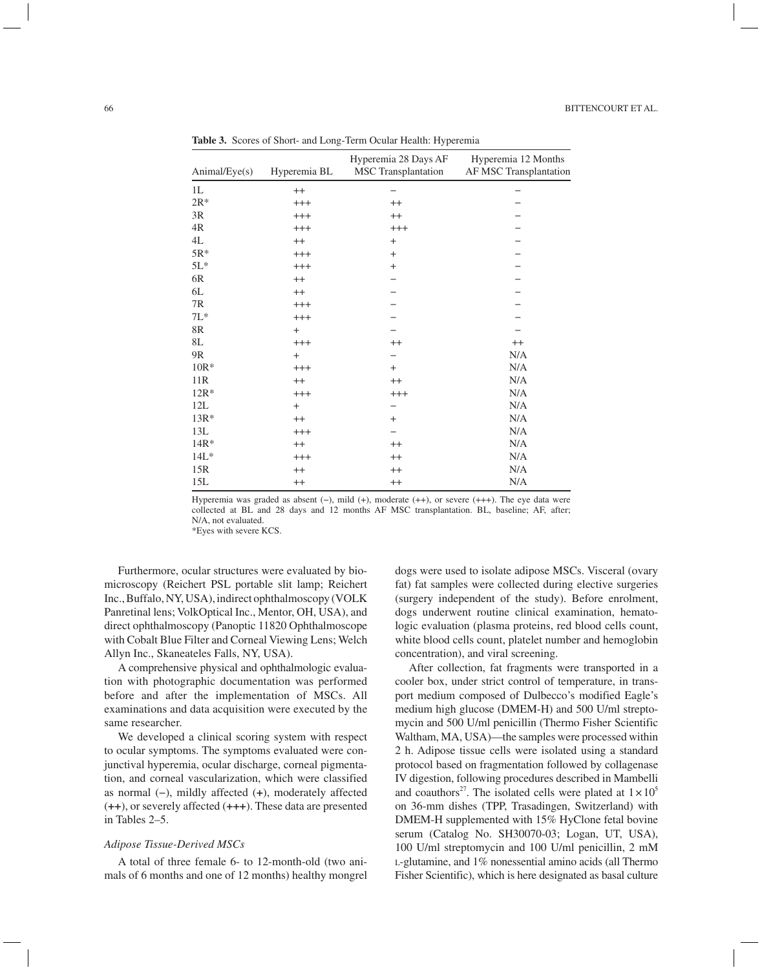| Animal/Eye(s) | Hyperemia BL | Hyperemia 28 Days AF<br>MSC Transplantation | Hyperemia 12 Months<br>AF MSC Transplantation |
|---------------|--------------|---------------------------------------------|-----------------------------------------------|
| 1L            | $^{++}$      |                                             |                                               |
| $2R*$         | $^{+++}$     | $++$                                        |                                               |
| 3R            | $^{+++}$     | $^{++}$                                     |                                               |
| 4R            | $^{+++}$     | $^{+++}$                                    |                                               |
| 4L            | $^{++}$      | $+$                                         |                                               |
| $5R*$         | $^{+++}$     | $\ddot{}$                                   |                                               |
| $5L*$         | $^{+++}$     | $^{+}$                                      |                                               |
| 6R            | $++$         |                                             |                                               |
| 6L            | $^{++}$      |                                             |                                               |
| 7R            | $^{+++}$     |                                             |                                               |
| $7L*$         | $^{+++}$     |                                             |                                               |
| 8R            | $+$          |                                             |                                               |
| 8L            | $^{+++}$     | $^{++}$                                     | $^{++}$                                       |
| 9R            | $+$          |                                             | N/A                                           |
| $10R*$        | $^{+++}$     | $^{+}$                                      | N/A                                           |
| 11R           | $^{++}$      | $^{++}$                                     | N/A                                           |
| $12R*$        | $^{+++}$     | $^{+++}$                                    | N/A                                           |
| 12L           | $+$          | -                                           | N/A                                           |
| $13R*$        | $^{++}$      | $^{+}$                                      | N/A                                           |
| 13L           | $^{+++}$     |                                             | N/A                                           |
| $14R*$        | $^{++}$      | $^{++}$                                     | N/A                                           |
| $14L*$        | $^{+++}$     | $^{++}$                                     | N/A                                           |
| 15R           | $++$         | $^{++}$                                     | N/A                                           |
| 15L           | $^{++}$      | $^{++}$                                     | N/A                                           |

**Table 3.** Scores of Short- and Long-Term Ocular Health: Hyperemia

Hyperemia was graded as absent (−), mild (+), moderate (++), or severe (+++). The eye data were collected at BL and 28 days and 12 months AF MSC transplantation. BL, baseline; AF, after; N/A, not evaluated. \*Eyes with severe KCS.

Furthermore, ocular structures were evaluated by biomicroscopy (Reichert PSL portable slit lamp; Reichert Inc., Buffalo, NY, USA), indirect ophthalmoscopy (VOLK Panretinal lens; VolkOptical Inc., Mentor, OH, USA), and direct ophthalmoscopy (Panoptic 11820 Ophthalmoscope with Cobalt Blue Filter and Corneal Viewing Lens; Welch Allyn Inc., Skaneateles Falls, NY, USA).

A comprehensive physical and ophthalmologic evaluation with photographic documentation was performed before and after the implementation of MSCs. All examinations and data acquisition were executed by the same researcher.

We developed a clinical scoring system with respect to ocular symptoms. The symptoms evaluated were conjunctival hyperemia, ocular discharge, corneal pigmentation, and corneal vascularization, which were classified as normal (−), mildly affected (**+**), moderately affected (**++**), or severely affected (**+++**). These data are presented in Tables 2–5.

#### *Adipose Tissue-Derived MSCs*

A total of three female 6- to 12-month-old (two animals of 6 months and one of 12 months) healthy mongrel dogs were used to isolate adipose MSCs. Visceral (ovary fat) fat samples were collected during elective surgeries (surgery independent of the study). Before enrolment, dogs underwent routine clinical examination, hematologic evaluation (plasma proteins, red blood cells count, white blood cells count, platelet number and hemoglobin concentration), and viral screening.

After collection, fat fragments were transported in a cooler box, under strict control of temperature, in transport medium composed of Dulbecco's modified Eagle's medium high glucose (DMEM-H) and 500 U/ml streptomycin and 500 U/ml penicillin (Thermo Fisher Scientific Waltham, MA, USA)—the samples were processed within 2 h. Adipose tissue cells were isolated using a standard protocol based on fragmentation followed by collagenase IV digestion, following procedures described in Mambelli and coauthors<sup>27</sup>. The isolated cells were plated at  $1 \times 10^5$ on 36-mm dishes (TPP, Trasadingen, Switzerland) with DMEM-H supplemented with 15% HyClone fetal bovine serum (Catalog No. SH30070-03; Logan, UT, USA), 100 U/ml streptomycin and 100 U/ml penicillin, 2 mM <sup>L</sup>-glutamine, and 1% nonessential amino acids (all Thermo Fisher Scientific), which is here designated as basal culture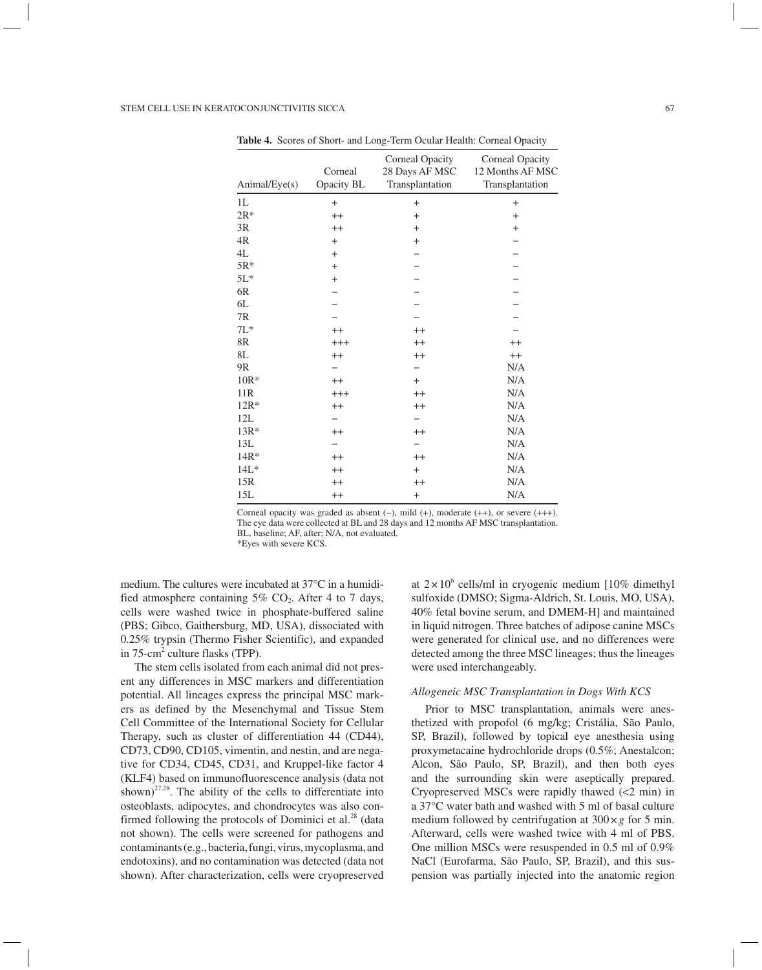| Animal/Eye(s) | Corneal<br>Opacity BL | Corneal Opacity<br>28 Days AF MSC<br>Transplantation | Corneal Opacity<br>12 Months AF MSC<br>Transplantation |
|---------------|-----------------------|------------------------------------------------------|--------------------------------------------------------|
| 1L            | $+$                   | $+$                                                  | $+$                                                    |
| $2R*$         | $^{++}$               | $^{+}$                                               | $+$                                                    |
| 3R            | $^{++}$               | $+$                                                  | $+$                                                    |
| 4R            | $+$                   | $+$                                                  |                                                        |
| $4\mathbf{L}$ | $+$                   |                                                      |                                                        |
| $5R*$         | $+$                   |                                                      |                                                        |
| $5L*$         | $\ddot{}$             |                                                      |                                                        |
| $6R$          |                       |                                                      |                                                        |
| 6L            |                       |                                                      |                                                        |
| $7\mathrm{R}$ |                       |                                                      |                                                        |
| $7L*$         | $^{++}$               | $^{++}$                                              |                                                        |
| $8\mathrm{R}$ | $^{+++}$              | $^{++}$                                              | $^{++}$                                                |
| 8L            | $^{++}$               | $^{++}$                                              | $^{++}$                                                |
| 9R            |                       |                                                      | N/A                                                    |
| $10R*$        | $^{++}$               | $+$                                                  | N/A                                                    |
| 11R           | $^{+++}$              | $^{++}$                                              | N/A                                                    |
| $12R*$        | $^{++}$               | $^{++}$                                              | N/A                                                    |
| 12L           |                       |                                                      | N/A                                                    |
| $13R*$        | $^{++}$               | $^{++}$                                              | N/A                                                    |
| 13L           |                       |                                                      | N/A                                                    |
| $14R*$        | $^{++}$               | $^{++}$                                              | N/A                                                    |
| $14L*$        | $^{++}$               | $+$                                                  | N/A                                                    |
| 15R           | $^{++}$               | $^{++}$                                              | N/A                                                    |
| 15L           | $^{++}$               | $^{+}$                                               | N/A                                                    |
|               |                       |                                                      |                                                        |

**Table 4.** Scores of Short- and Long-Term Ocular Health: Corneal Opacity

Corneal opacity was graded as absent (−), mild (+), moderate (++), or severe (+++). The eye data were collected at BL and 28 days and 12 months AF MSC transplantation. BL, baseline; AF, after; N/A, not evaluated.

\*Eyes with severe KCS.

medium. The cultures were incubated at 37°C in a humidified atmosphere containing  $5\%$  CO<sub>2</sub>. After 4 to 7 days, cells were washed twice in phosphate-buffered saline (PBS; Gibco, Gaithersburg, MD, USA), dissociated with 0.25% trypsin (Thermo Fisher Scientific), and expanded in 75-cm<sup>2</sup> culture flasks (TPP).

The stem cells isolated from each animal did not present any differences in MSC markers and differentiation potential. All lineages express the principal MSC markers as defined by the Mesenchymal and Tissue Stem Cell Committee of the International Society for Cellular Therapy, such as cluster of differentiation 44 (CD44), CD73, CD90, CD105, vimentin, and nestin, and are negative for CD34, CD45, CD31, and Kruppel-like factor 4 (KLF4) based on immunofluorescence analysis (data not shown)<sup>27,28</sup>. The ability of the cells to differentiate into osteoblasts, adipocytes, and chondrocytes was also confirmed following the protocols of Dominici et al.<sup>28</sup> (data not shown). The cells were screened for pathogens and contaminants (e.g., bacteria, fungi, virus, mycoplasma, and endotoxins), and no contamination was detected (data not shown). After characterization, cells were cryopreserved

at  $2 \times 10^6$  cells/ml in cryogenic medium [10% dimethyl] sulfoxide (DMSO; Sigma-Aldrich, St. Louis, MO, USA), 40% fetal bovine serum, and DMEM-H] and maintained in liquid nitrogen. Three batches of adipose canine MSCs were generated for clinical use, and no differences were detected among the three MSC lineages; thus the lineages were used interchangeably.

#### *Allogeneic MSC Transplantation in Dogs With KCS*

Prior to MSC transplantation, animals were anesthetized with propofol (6 mg/kg; Cristália, São Paulo, SP, Brazil), followed by topical eye anesthesia using proxymetacaine hydrochloride drops (0.5%; Anestalcon; Alcon, São Paulo, SP, Brazil), and then both eyes and the surrounding skin were aseptically prepared. Cryopreserved MSCs were rapidly thawed (<2 min) in a 37°C water bath and washed with 5 ml of basal culture medium followed by centrifugation at  $300 \times g$  for 5 min. Afterward, cells were washed twice with 4 ml of PBS. One million MSCs were resuspended in 0.5 ml of 0.9% NaCl (Eurofarma, São Paulo, SP, Brazil), and this suspension was partially injected into the anatomic region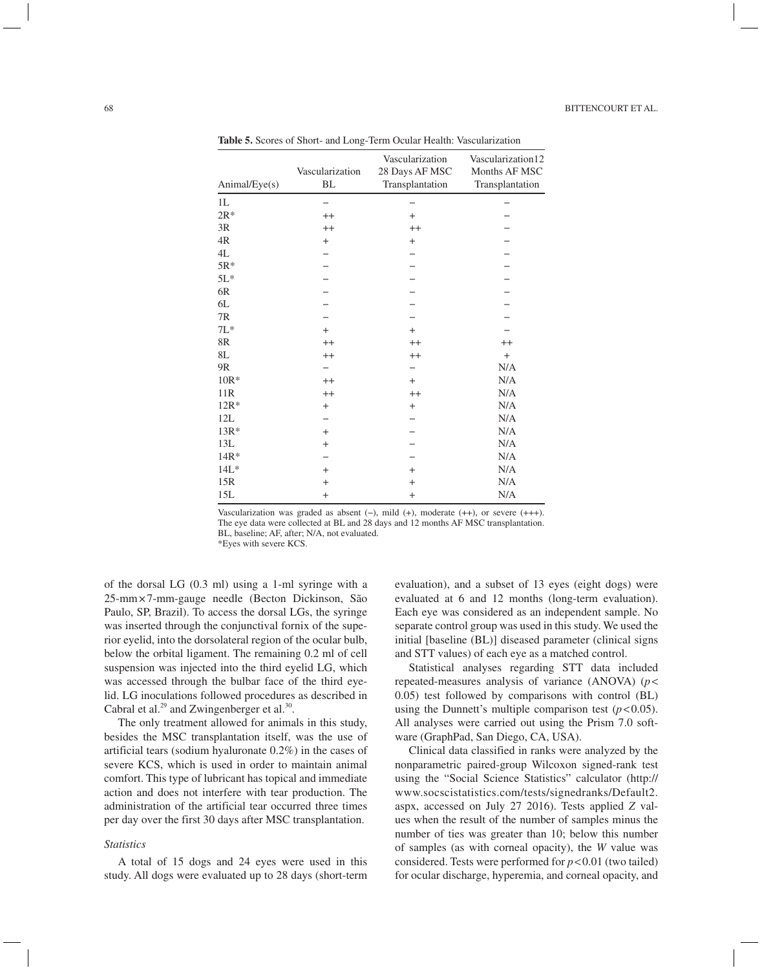| Animal/Eye(s)  | Vascularization<br><b>BL</b> | Vascularization<br>28 Days AF MSC<br>Transplantation | Vascularization12<br>Months AF MSC<br>Transplantation |
|----------------|------------------------------|------------------------------------------------------|-------------------------------------------------------|
| 1L             |                              |                                                      |                                                       |
| $2R*$          | $^{++}$                      | $+$                                                  |                                                       |
| 3R             | $++$                         | $^{++}$                                              |                                                       |
| 4R             | $^{+}$                       | $^{+}$                                               |                                                       |
| 4L             |                              |                                                      |                                                       |
| $5R*$          |                              |                                                      |                                                       |
| $5L*$          |                              |                                                      |                                                       |
| 6R             |                              |                                                      |                                                       |
| 6L             |                              |                                                      |                                                       |
| 7R             |                              |                                                      |                                                       |
| $7L*$          | $+$                          | $\ddot{}$                                            |                                                       |
| 8R             | $++$                         | $^{++}$                                              | $^{++}$                                               |
| 8L             | $^{++}$                      | $^{++}$                                              | $\ddot{}$                                             |
| 9 <sub>R</sub> |                              |                                                      | N/A                                                   |
| $10R*$         | $++$                         | $+$                                                  | N/A                                                   |
| 11R            | $^{++}$                      | $^{++}$                                              | N/A                                                   |
| $12R*$         | $+$                          | $\ddot{}$                                            | N/A                                                   |
| 12L            |                              |                                                      | N/A                                                   |
| $13R*$         | $^{+}$                       |                                                      | N/A                                                   |
| 13L            | $^{+}$                       |                                                      | N/A                                                   |
| $14R*$         |                              |                                                      | N/A                                                   |
| $14L*$         | $+$                          | $\ddot{}$                                            | N/A                                                   |
| 15R            | $\ddot{}$                    | $^{+}$                                               | N/A                                                   |
| 15L            | $\ddot{}$                    | $\ddot{}$                                            | N/A                                                   |

**Table 5.** Scores of Short- and Long-Term Ocular Health: Vascularization

Vascularization was graded as absent (−), mild (+), moderate (++), or severe (+++). The eye data were collected at BL and 28 days and 12 months AF MSC transplantation. BL, baseline; AF, after; N/A, not evaluated.

\*Eyes with severe KCS.

of the dorsal LG (0.3 ml) using a 1-ml syringe with a 25-mm × 7-mm-gauge needle (Becton Dickinson, São Paulo, SP, Brazil). To access the dorsal LGs, the syringe was inserted through the conjunctival fornix of the superior eyelid, into the dorsolateral region of the ocular bulb, below the orbital ligament. The remaining 0.2 ml of cell suspension was injected into the third eyelid LG, which was accessed through the bulbar face of the third eyelid. LG inoculations followed procedures as described in Cabral et al.<sup>29</sup> and Zwingenberger et al.<sup>30</sup>.

The only treatment allowed for animals in this study, besides the MSC transplantation itself, was the use of artificial tears (sodium hyaluronate 0.2%) in the cases of severe KCS, which is used in order to maintain animal comfort. This type of lubricant has topical and immediate action and does not interfere with tear production. The administration of the artificial tear occurred three times per day over the first 30 days after MSC transplantation.

#### *Statistics*

A total of 15 dogs and 24 eyes were used in this study. All dogs were evaluated up to 28 days (short-term

evaluation), and a subset of 13 eyes (eight dogs) were evaluated at 6 and 12 months (long-term evaluation). Each eye was considered as an independent sample. No separate control group was used in this study. We used the initial [baseline (BL)] diseased parameter (clinical signs and STT values) of each eye as a matched control.

Statistical analyses regarding STT data included repeated-measures analysis of variance (ANOVA) (*p*< 0.05) test followed by comparisons with control (BL) using the Dunnett's multiple comparison test  $(p<0.05)$ . All analyses were carried out using the Prism 7.0 software (GraphPad, San Diego, CA, USA).

Clinical data classified in ranks were analyzed by the nonparametric paired-group Wilcoxon signed-rank test using the "Social Science Statistics" calculator (http:// www.socscistatistics.com/tests/signedranks/Default2. aspx, accessed on July 27 2016). Tests applied *Z* values when the result of the number of samples minus the number of ties was greater than 10; below this number of samples (as with corneal opacity), the *W* value was considered. Tests were performed for *p*<0.01 (two tailed) for ocular discharge, hyperemia, and corneal opacity, and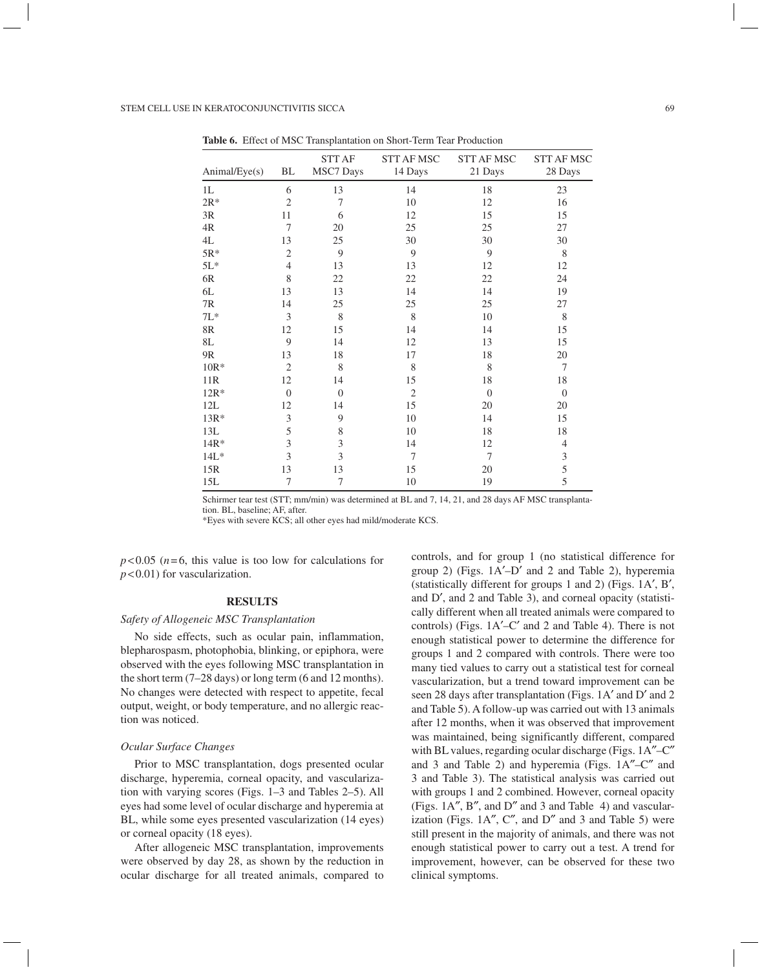| Animal/Eye(s)  | BL             | <b>STT AF</b><br><b>MSC7</b> Days | <b>STT AF MSC</b><br>14 Days | <b>STT AF MSC</b><br>21 Days | <b>STT AF MSC</b><br>28 Days |
|----------------|----------------|-----------------------------------|------------------------------|------------------------------|------------------------------|
| 1 <sub>L</sub> | 6              | 13                                | 14                           | 18                           | 23                           |
| $2R*$          | $\overline{2}$ | 7                                 | 10                           | 12                           | 16                           |
| 3R             | 11             | 6                                 | 12                           | 15                           | 15                           |
| 4R             | 7              | 20                                | 25                           | 25                           | 27                           |
| 4L             | 13             | 25                                | 30                           | 30                           | 30                           |
| $5R*$          | $\mathfrak{2}$ | 9                                 | 9                            | 9                            | 8                            |
| $5L*$          | $\overline{4}$ | 13                                | 13                           | 12                           | 12                           |
| 6R             | 8              | 22                                | 22                           | 22                           | 24                           |
| 6L             | 13             | 13                                | 14                           | 14                           | 19                           |
| 7R             | 14             | 25                                | 25                           | 25                           | 27                           |
| $7L*$          | 3              | $\,$ 8 $\,$                       | 8                            | 10                           | 8                            |
| $8\mathrm{R}$  | 12             | 15                                | 14                           | 14                           | 15                           |
| 8L             | 9              | 14                                | 12                           | 13                           | 15                           |
| 9R             | 13             | 18                                | 17                           | 18                           | 20                           |
| $10R*$         | $\overline{2}$ | 8                                 | 8                            | 8                            | 7                            |
| 11R            | 12             | 14                                | 15                           | 18                           | 18                           |
| $12R*$         | $\theta$       | $\theta$                          | $\mathfrak{2}$               | $\theta$                     | $\theta$                     |
| 12L            | 12             | 14                                | 15                           | 20                           | 20                           |
| $13R*$         | $\mathfrak{Z}$ | 9                                 | 10                           | 14                           | 15                           |
| 13L            | 5              | 8                                 | 10                           | 18                           | 18                           |
| $14R*$         | 3              | 3                                 | 14                           | 12                           | $\overline{4}$               |
| $14L*$         | 3              | 3                                 | 7                            | $\overline{7}$               | 3                            |
| 15R            | 13             | 13                                | 15                           | 20                           | 5                            |
| 15L            | 7              | 7                                 | 10                           | 19                           | 5                            |

**Table 6.** Effect of MSC Transplantation on Short-Term Tear Production

Schirmer tear test (STT; mm/min) was determined at BL and 7, 14, 21, and 28 days AF MSC transplantation. BL, baseline; AF, after.

\*Eyes with severe KCS; all other eyes had mild/moderate KCS.

 $p<0.05$  ( $n=6$ , this value is too low for calculations for *p*< 0.01) for vascularization.

# **RESULTS**

# *Safety of Allogeneic MSC Transplantation*

No side effects, such as ocular pain, inflammation, blepharospasm, photophobia, blinking, or epiphora, were observed with the eyes following MSC transplantation in the short term (7–28 days) or long term (6 and 12 months). No changes were detected with respect to appetite, fecal output, weight, or body temperature, and no allergic reaction was noticed.

# *Ocular Surface Changes*

Prior to MSC transplantation, dogs presented ocular discharge, hyperemia, corneal opacity, and vascularization with varying scores (Figs. 1–3 and Tables 2–5). All eyes had some level of ocular discharge and hyperemia at BL, while some eyes presented vascularization (14 eyes) or corneal opacity (18 eyes).

After allogeneic MSC transplantation, improvements were observed by day 28, as shown by the reduction in ocular discharge for all treated animals, compared to controls, and for group 1 (no statistical difference for group 2) (Figs.  $1A'$ –D' and 2 and Table 2), hyperemia (statistically different for groups 1 and 2) (Figs.  $1A', B',$ and D', and 2 and Table 3), and corneal opacity (statistically different when all treated animals were compared to controls) (Figs.  $1A'$ –C' and 2 and Table 4). There is not enough statistical power to determine the difference for groups 1 and 2 compared with controls. There were too many tied values to carry out a statistical test for corneal vascularization, but a trend toward improvement can be seen 28 days after transplantation (Figs. 1A' and D' and 2 and Table 5). A follow-up was carried out with 13 animals after 12 months, when it was observed that improvement was maintained, being significantly different, compared with BL values, regarding ocular discharge (Figs. 1A"–C" and 3 and Table 2) and hyperemia (Figs.  $1A''-C''$  and 3 and Table 3). The statistical analysis was carried out with groups 1 and 2 combined. However, corneal opacity (Figs. 1A", B", and D" and 3 and Table 4) and vascularization (Figs.  $1A''$ ,  $C''$ , and  $D''$  and 3 and Table 5) were still present in the majority of animals, and there was not enough statistical power to carry out a test. A trend for improvement, however, can be observed for these two clinical symptoms.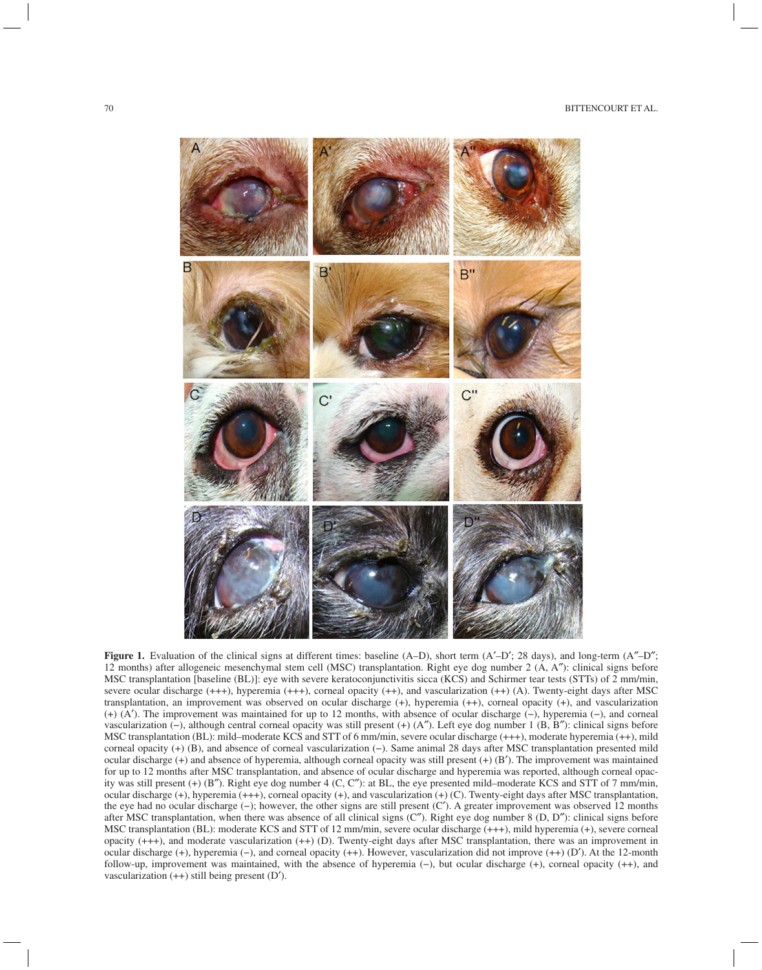

**Figure 1.** Evaluation of the clinical signs at different times: baseline (A–D), short term (A'–D'; 28 days), and long-term (A"–D"; 12 months) after allogeneic mesenchymal stem cell (MSC) transplantation. Right eye dog number 2 (A, A²): clinical signs before MSC transplantation [baseline (BL)]: eye with severe keratoconjunctivitis sicca (KCS) and Schirmer tear tests (STTs) of 2 mm/min, severe ocular discharge (+++), hyperemia (+++), corneal opacity (++), and vascularization (++) (A). Twenty-eight days after MSC transplantation, an improvement was observed on ocular discharge (+), hyperemia (++), corneal opacity (+), and vascularization (+) (A¢). The improvement was maintained for up to 12 months, with absence of ocular discharge (−), hyperemia (−), and corneal vascularization (−), although central corneal opacity was still present (+) (A²). Left eye dog number 1 (B, B²): clinical signs before MSC transplantation (BL): mild–moderate KCS and STT of 6 mm/min, severe ocular discharge (+++), moderate hyperemia (++), mild corneal opacity (+) (B), and absence of corneal vascularization (−). Same animal 28 days after MSC transplantation presented mild ocular discharge  $(+)$  and absence of hyperemia, although corneal opacity was still present  $(+)$   $(B')$ . The improvement was maintained for up to 12 months after MSC transplantation, and absence of ocular discharge and hyperemia was reported, although corneal opacity was still present  $(+)$  (B"). Right eye dog number 4 (C, C"): at BL, the eye presented mild–moderate KCS and STT of 7 mm/min, ocular discharge (+), hyperemia (+++), corneal opacity (+), and vascularization (+) (C). Twenty-eight days after MSC transplantation, the eye had no ocular discharge (−); however, the other signs are still present (C¢). A greater improvement was observed 12 months after MSC transplantation, when there was absence of all clinical signs  $(C<sup>''</sup>)$ . Right eye dog number 8  $(D, D'')$ : clinical signs before MSC transplantation (BL): moderate KCS and STT of 12 mm/min, severe ocular discharge (+++), mild hyperemia (+), severe corneal opacity (+++), and moderate vascularization (++) (D). Twenty-eight days after MSC transplantation, there was an improvement in ocular discharge (+), hyperemia (−), and corneal opacity (++). However, vascularization did not improve (++) (D'). At the 12-month follow-up, improvement was maintained, with the absence of hyperemia (−), but ocular discharge (+), corneal opacity (++), and vascularization  $(++)$  still being present  $(D')$ .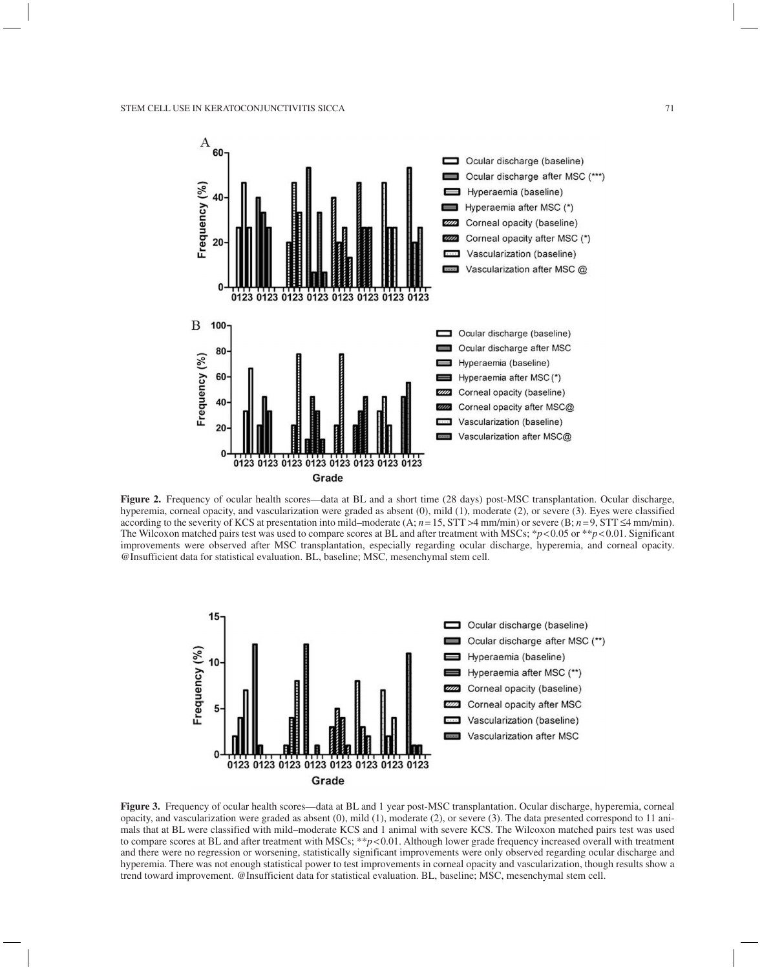

**Figure 2.** Frequency of ocular health scores—data at BL and a short time (28 days) post-MSC transplantation. Ocular discharge, hyperemia, corneal opacity, and vascularization were graded as absent (0), mild (1), moderate (2), or severe (3). Eyes were classified according to the severity of KCS at presentation into mild–moderate  $(A; n=15, STT > 4$  mm/min) or severe  $(B; n=9, STT \le 4$  mm/min). The Wilcoxon matched pairs test was used to compare scores at BL and after treatment with MSCs; \**p*<0.05 or \*\**p*<0.01. Significant improvements were observed after MSC transplantation, especially regarding ocular discharge, hyperemia, and corneal opacity. @Insufficient data for statistical evaluation. BL, baseline; MSC, mesenchymal stem cell.



**Figure 3.** Frequency of ocular health scores—data at BL and 1 year post-MSC transplantation. Ocular discharge, hyperemia, corneal opacity, and vascularization were graded as absent (0), mild (1), moderate (2), or severe (3). The data presented correspond to 11 animals that at BL were classified with mild–moderate KCS and 1 animal with severe KCS. The Wilcoxon matched pairs test was used to compare scores at BL and after treatment with MSCs; \*\**p*<0.01. Although lower grade frequency increased overall with treatment and there were no regression or worsening, statistically significant improvements were only observed regarding ocular discharge and hyperemia. There was not enough statistical power to test improvements in corneal opacity and vascularization, though results show a trend toward improvement. @Insufficient data for statistical evaluation. BL, baseline; MSC, mesenchymal stem cell.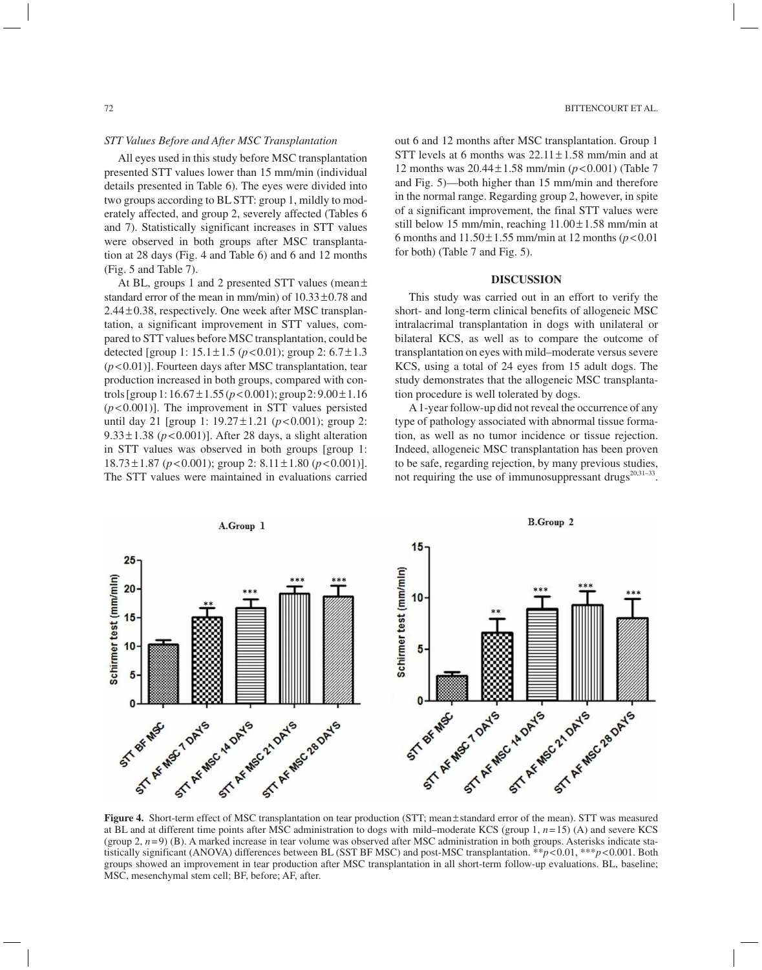## *STT Values Before and After MSC Transplantation*

All eyes used in this study before MSC transplantation presented STT values lower than 15 mm/min (individual details presented in Table 6). The eyes were divided into two groups according to BL STT: group 1, mildly to moderately affected, and group 2, severely affected (Tables 6 and 7). Statistically significant increases in STT values were observed in both groups after MSC transplantation at 28 days (Fig. 4 and Table 6) and 6 and 12 months (Fig. 5 and Table 7).

At BL, groups 1 and 2 presented STT values (mean± standard error of the mean in mm/min) of  $10.33 \pm 0.78$  and 2.44 ±0.38, respectively. One week after MSC transplantation, a significant improvement in STT values, compared to STT values before MSC transplantation, could be detected [group 1: 15.1±1.5 (*p*<0.01); group 2: 6.7± 1.3 (*p*<0.01)]. Fourteen days after MSC transplantation, tear production increased in both groups, compared with controls [group 1: 16.67±1.55 (*p*<0.001); group 2: 9.00± 1.16 (*p*<0.001)]. The improvement in STT values persisted until day 21 [group 1: 19.27±1.21 (*p*<0.001); group 2: 9.33 $\pm$ 1.38 ( $p$ <0.001)]. After 28 days, a slight alteration in STT values was observed in both groups [group 1: 18.73 ±1.87 (*p*<0.001); group 2: 8.11±1.80 (*p*< 0.001)]. The STT values were maintained in evaluations carried out 6 and 12 months after MSC transplantation. Group 1 STT levels at 6 months was  $22.11 \pm 1.58$  mm/min and at 12 months was 20.44±1.58 mm/min (*p*<0.001) (Table 7 and Fig. 5)—both higher than 15 mm/min and therefore in the normal range. Regarding group 2, however, in spite of a significant improvement, the final STT values were still below 15 mm/min, reaching  $11.00 \pm 1.58$  mm/min at 6 months and  $11.50 \pm 1.55$  mm/min at 12 months ( $p < 0.01$ ) for both) (Table 7 and Fig. 5).

#### **DISCUSSION**

This study was carried out in an effort to verify the short- and long-term clinical benefits of allogeneic MSC intralacrimal transplantation in dogs with unilateral or bilateral KCS, as well as to compare the outcome of transplantation on eyes with mild–moderate versus severe KCS, using a total of 24 eyes from 15 adult dogs. The study demonstrates that the allogeneic MSC transplantation procedure is well tolerated by dogs.

A 1-year follow-up did not reveal the occurrence of any type of pathology associated with abnormal tissue formation, as well as no tumor incidence or tissue rejection. Indeed, allogeneic MSC transplantation has been proven to be safe, regarding rejection, by many previous studies, not requiring the use of immunosuppressant drugs $2^{0,31-33}$ .



**Figure 4.** Short-term effect of MSC transplantation on tear production (STT; mean±standard error of the mean). STT was measured at BL and at different time points after MSC administration to dogs with mild–moderate KCS (group 1, *n* = 15) (A) and severe KCS (group 2, *n* = 9) (B). A marked increase in tear volume was observed after MSC administration in both groups. Asterisks indicate statistically significant (ANOVA) differences between BL (SST BF MSC) and post-MSC transplantation. \*\**p*<0.01, \*\*\**p*<0.001. Both groups showed an improvement in tear production after MSC transplantation in all short-term follow-up evaluations. BL, baseline; MSC, mesenchymal stem cell; BF, before; AF, after.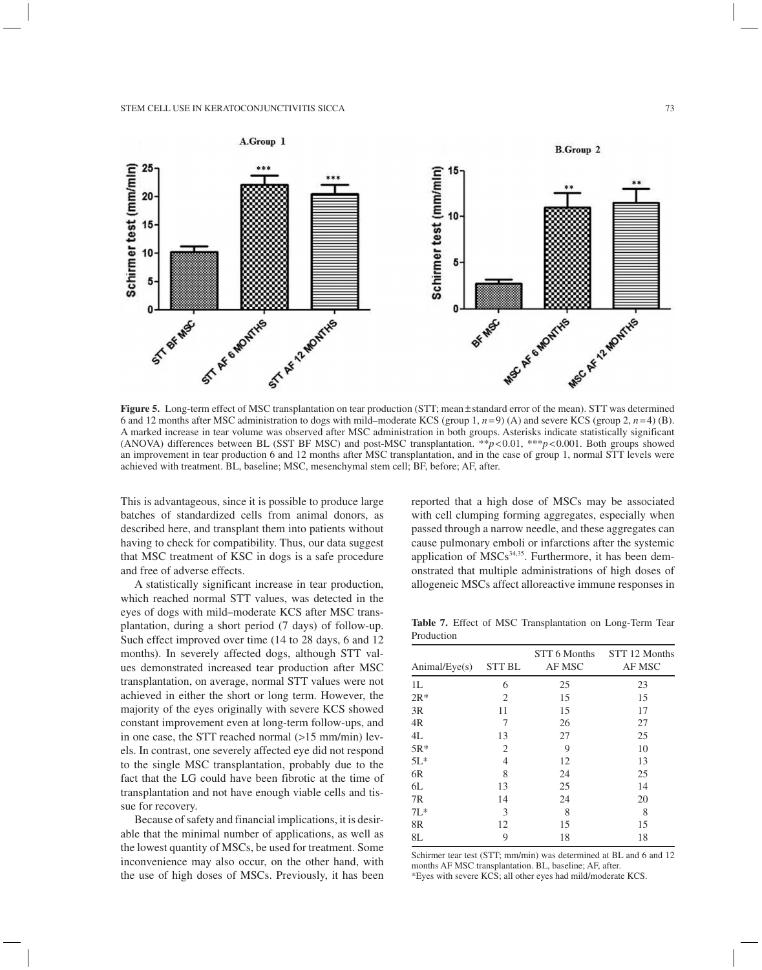

**Figure 5.** Long-term effect of MSC transplantation on tear production (STT; mean±standard error of the mean). STT was determined 6 and 12 months after MSC administration to dogs with mild–moderate KCS (group 1,  $n=9$ ) (A) and severe KCS (group 2,  $n=4$ ) (B). A marked increase in tear volume was observed after MSC administration in both groups. Asterisks indicate statistically significant (ANOVA) differences between BL (SST BF MSC) and post-MSC transplantation. \*\**p*<0.01, \*\*\**p*<0.001. Both groups showed an improvement in tear production 6 and 12 months after MSC transplantation, and in the case of group 1, normal STT levels were achieved with treatment. BL, baseline; MSC, mesenchymal stem cell; BF, before; AF, after.

This is advantageous, since it is possible to produce large batches of standardized cells from animal donors, as described here, and transplant them into patients without having to check for compatibility. Thus, our data suggest that MSC treatment of KSC in dogs is a safe procedure and free of adverse effects.

A statistically significant increase in tear production, which reached normal STT values, was detected in the eyes of dogs with mild–moderate KCS after MSC transplantation, during a short period (7 days) of follow-up. Such effect improved over time (14 to 28 days, 6 and 12 months). In severely affected dogs, although STT values demonstrated increased tear production after MSC transplantation, on average, normal STT values were not achieved in either the short or long term. However, the majority of the eyes originally with severe KCS showed constant improvement even at long-term follow-ups, and in one case, the STT reached normal  $(>15 \text{ mm/min})$  levels. In contrast, one severely affected eye did not respond to the single MSC transplantation, probably due to the fact that the LG could have been fibrotic at the time of transplantation and not have enough viable cells and tissue for recovery.

Because of safety and financial implications, it is desirable that the minimal number of applications, as well as the lowest quantity of MSCs, be used for treatment. Some inconvenience may also occur, on the other hand, with the use of high doses of MSCs. Previously, it has been reported that a high dose of MSCs may be associated with cell clumping forming aggregates, especially when passed through a narrow needle, and these aggregates can cause pulmonary emboli or infarctions after the systemic application of  $MSCs<sup>34,35</sup>$ . Furthermore, it has been demonstrated that multiple administrations of high doses of allogeneic MSCs affect alloreactive immune responses in

**Table 7.** Effect of MSC Transplantation on Long-Term Tear Production

| Animal/Eye(s)  | <b>STT BL</b> | STT 6 Months<br>AF MSC | STT 12 Months<br>AF MSC |
|----------------|---------------|------------------------|-------------------------|
| 1L             | 6             | 25                     | 23                      |
| $2R*$          | 2             | 15                     | 15                      |
| 3R             | 11            | 15                     | 17                      |
| 4R             | 7             | 26                     | 27                      |
| 4L             | 13            | 27                     | 25                      |
| $5R*$          | 2             | 9                      | 10                      |
| $5L*$          | 4             | 12                     | 13                      |
| 6 <sub>R</sub> | 8             | 24                     | 25                      |
| 6L             | 13            | 25                     | 14                      |
| 7R             | 14            | 24                     | 20                      |
| $7L^*$         | 3             | 8                      | 8                       |
| 8R             | 12            | 15                     | 15                      |
| 8L             | 9             | 18                     | 18                      |

Schirmer tear test (STT; mm/min) was determined at BL and 6 and 12 months AF MSC transplantation. BL, baseline; AF, after. \*Eyes with severe KCS; all other eyes had mild/moderate KCS.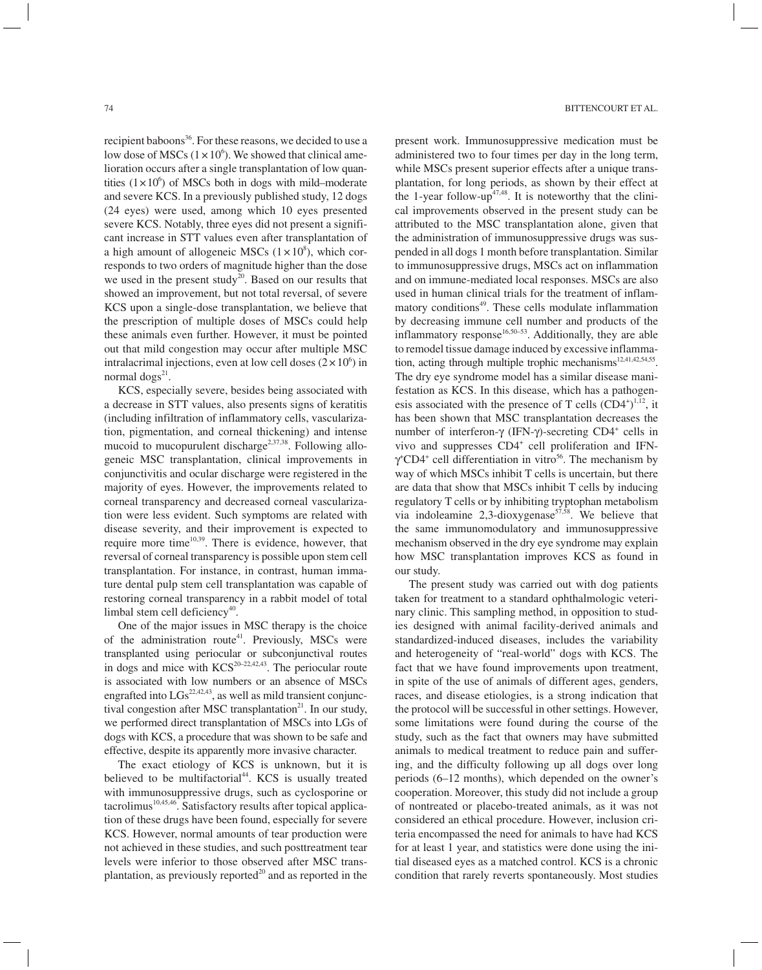recipient baboons<sup>36</sup>. For these reasons, we decided to use a low dose of MSCs  $(1 \times 10^6)$ . We showed that clinical amelioration occurs after a single transplantation of low quantities  $(1 \times 10^6)$  of MSCs both in dogs with mild–moderate and severe KCS. In a previously published study, 12 dogs (24 eyes) were used, among which 10 eyes presented severe KCS. Notably, three eyes did not present a significant increase in STT values even after transplantation of a high amount of allogeneic MSCs  $(1 \times 10^8)$ , which corresponds to two orders of magnitude higher than the dose we used in the present study<sup>20</sup>. Based on our results that showed an improvement, but not total reversal, of severe KCS upon a single-dose transplantation, we believe that the prescription of multiple doses of MSCs could help these animals even further. However, it must be pointed out that mild congestion may occur after multiple MSC intralacrimal injections, even at low cell doses  $(2 \times 10^6)$  in normal  $\log s^{21}$ .

KCS, especially severe, besides being associated with a decrease in STT values, also presents signs of keratitis (including infiltration of inflammatory cells, vascularization, pigmentation, and corneal thickening) and intense mucoid to mucopurulent discharge<sup>2,37,38</sup>. Following allogeneic MSC transplantation, clinical improvements in conjunctivitis and ocular discharge were registered in the majority of eyes. However, the improvements related to corneal transparency and decreased corneal vascularization were less evident. Such symptoms are related with disease severity, and their improvement is expected to require more time $10,39$ . There is evidence, however, that reversal of corneal transparency is possible upon stem cell transplantation. For instance, in contrast, human immature dental pulp stem cell transplantation was capable of restoring corneal transparency in a rabbit model of total limbal stem cell deficiency<sup>40</sup>.

One of the major issues in MSC therapy is the choice of the administration route<sup>41</sup>. Previously, MSCs were transplanted using periocular or subconjunctival routes in dogs and mice with  $KCS^{20-22,42,43}$ . The periocular route is associated with low numbers or an absence of MSCs engrafted into  $\text{LGs}^{22,42,43}$ , as well as mild transient conjunctival congestion after MSC transplantation $^{21}$ . In our study, we performed direct transplantation of MSCs into LGs of dogs with KCS, a procedure that was shown to be safe and effective, despite its apparently more invasive character.

The exact etiology of KCS is unknown, but it is believed to be multifactorial<sup>44</sup>. KCS is usually treated with immunosuppressive drugs, such as cyclosporine or  $\arctan 10,45,46$ . Satisfactory results after topical application of these drugs have been found, especially for severe KCS. However, normal amounts of tear production were not achieved in these studies, and such posttreatment tear levels were inferior to those observed after MSC transplantation, as previously reported $^{20}$  and as reported in the present work. Immunosuppressive medication must be administered two to four times per day in the long term, while MSCs present superior effects after a unique transplantation, for long periods, as shown by their effect at the 1-year follow-up<sup> $47,48$ </sup>. It is noteworthy that the clinical improvements observed in the present study can be attributed to the MSC transplantation alone, given that the administration of immunosuppressive drugs was suspended in all dogs 1 month before transplantation. Similar to immunosuppressive drugs, MSCs act on inflammation and on immune-mediated local responses. MSCs are also used in human clinical trials for the treatment of inflammatory conditions<sup>49</sup>. These cells modulate inflammation by decreasing immune cell number and products of the inflammatory response<sup>16,50–53</sup>. Additionally, they are able to remodel tissue damage induced by excessive inflammation, acting through multiple trophic mechanisms<sup>12,41,42,54,55</sup>. The dry eye syndrome model has a similar disease manifestation as KCS. In this disease, which has a pathogenesis associated with the presence of T cells  $(CD4<sup>+</sup>)<sup>1,12</sup>$ , it has been shown that MSC transplantation decreases the number of interferon- $\gamma$  (IFN- $\gamma$ )-secreting CD4<sup>+</sup> cells in vivo and suppresses CD4<sup>+</sup> cell proliferation and IFN- $\gamma$ <sup>+</sup>CD4<sup>+</sup> cell differentiation in vitro<sup>56</sup>. The mechanism by way of which MSCs inhibit T cells is uncertain, but there are data that show that MSCs inhibit T cells by inducing regulatory T cells or by inhibiting tryptophan metabolism via indoleamine 2,3-dioxygenase<sup>57,58</sup>. We believe that the same immunomodulatory and immunosuppressive mechanism observed in the dry eye syndrome may explain how MSC transplantation improves KCS as found in our study.

The present study was carried out with dog patients taken for treatment to a standard ophthalmologic veterinary clinic. This sampling method, in opposition to studies designed with animal facility-derived animals and standardized-induced diseases, includes the variability and heterogeneity of "real-world" dogs with KCS. The fact that we have found improvements upon treatment, in spite of the use of animals of different ages, genders, races, and disease etiologies, is a strong indication that the protocol will be successful in other settings. However, some limitations were found during the course of the study, such as the fact that owners may have submitted animals to medical treatment to reduce pain and suffering, and the difficulty following up all dogs over long periods (6–12 months), which depended on the owner's cooperation. Moreover, this study did not include a group of nontreated or placebo-treated animals, as it was not considered an ethical procedure. However, inclusion criteria encompassed the need for animals to have had KCS for at least 1 year, and statistics were done using the initial diseased eyes as a matched control. KCS is a chronic condition that rarely reverts spontaneously. Most studies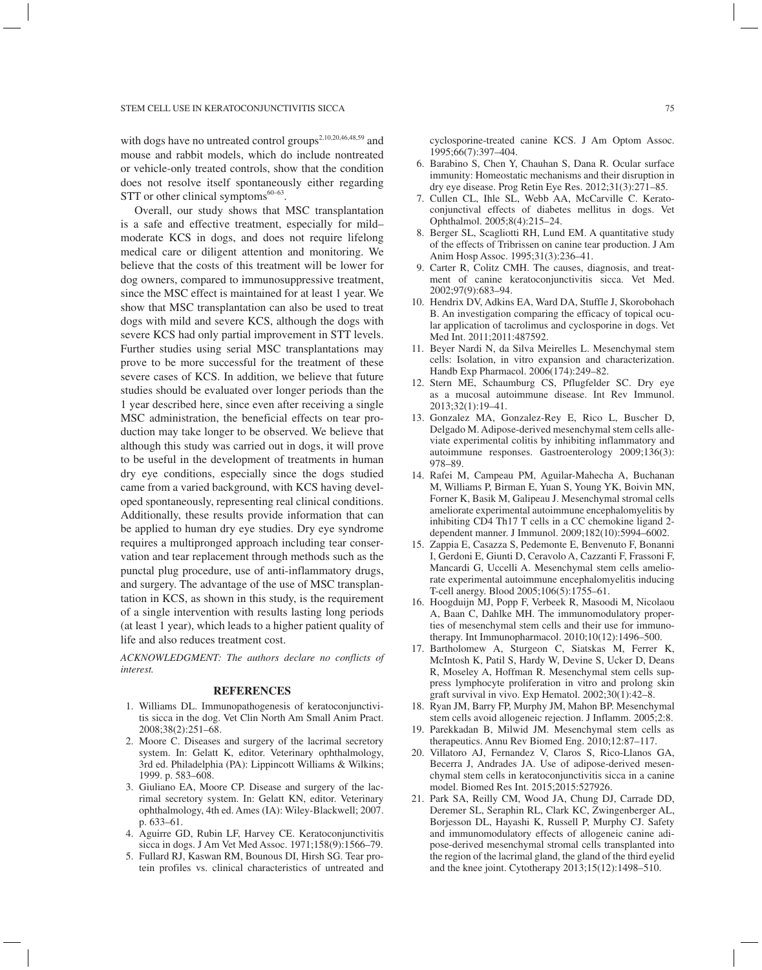with dogs have no untreated control groups<sup>2,10,20,46,48,59</sup> and mouse and rabbit models, which do include nontreated or vehicle-only treated controls, show that the condition does not resolve itself spontaneously either regarding STT or other clinical symptoms $60-63$ .

Overall, our study shows that MSC transplantation is a safe and effective treatment, especially for mild– moderate KCS in dogs, and does not require lifelong medical care or diligent attention and monitoring. We believe that the costs of this treatment will be lower for dog owners, compared to immunosuppressive treatment, since the MSC effect is maintained for at least 1 year. We show that MSC transplantation can also be used to treat dogs with mild and severe KCS, although the dogs with severe KCS had only partial improvement in STT levels. Further studies using serial MSC transplantations may prove to be more successful for the treatment of these severe cases of KCS. In addition, we believe that future studies should be evaluated over longer periods than the 1 year described here, since even after receiving a single MSC administration, the beneficial effects on tear production may take longer to be observed. We believe that although this study was carried out in dogs, it will prove to be useful in the development of treatments in human dry eye conditions, especially since the dogs studied came from a varied background, with KCS having developed spontaneously, representing real clinical conditions. Additionally, these results provide information that can be applied to human dry eye studies. Dry eye syndrome requires a multipronged approach including tear conservation and tear replacement through methods such as the punctal plug procedure, use of anti-inflammatory drugs, and surgery. The advantage of the use of MSC transplantation in KCS, as shown in this study, is the requirement of a single intervention with results lasting long periods (at least 1 year), which leads to a higher patient quality of life and also reduces treatment cost.

*ACKNOWLEDGMENT: The authors declare no conflicts of interest.*

#### **REFERENCES**

- 1. Williams DL. Immunopathogenesis of keratoconjunctivitis sicca in the dog. Vet Clin North Am Small Anim Pract. 2008;38(2):251–68.
- 2. Moore C. Diseases and surgery of the lacrimal secretory system. In: Gelatt K, editor. Veterinary ophthalmology, 3rd ed. Philadelphia (PA): Lippincott Williams & Wilkins; 1999. p. 583–608.
- 3. Giuliano EA, Moore CP. Disease and surgery of the lacrimal secretory system. In: Gelatt KN, editor. Veterinary ophthalmology, 4th ed. Ames (IA): Wiley-Blackwell; 2007. p. 633–61.
- 4. Aguirre GD, Rubin LF, Harvey CE. Keratoconjunctivitis sicca in dogs. J Am Vet Med Assoc. 1971;158(9):1566–79.
- 5. Fullard RJ, Kaswan RM, Bounous DI, Hirsh SG. Tear protein profiles vs. clinical characteristics of untreated and

cyclosporine-treated canine KCS. J Am Optom Assoc. 1995;66(7):397–404.

- 6. Barabino S, Chen Y, Chauhan S, Dana R. Ocular surface immunity: Homeostatic mechanisms and their disruption in dry eye disease. Prog Retin Eye Res. 2012;31(3):271–85.
- 7. Cullen CL, Ihle SL, Webb AA, McCarville C. Keratoconjunctival effects of diabetes mellitus in dogs. Vet Ophthalmol. 2005;8(4):215–24.
- 8. Berger SL, Scagliotti RH, Lund EM. A quantitative study of the effects of Tribrissen on canine tear production. J Am Anim Hosp Assoc. 1995;31(3):236–41.
- 9. Carter R, Colitz CMH. The causes, diagnosis, and treatment of canine keratoconjunctivitis sicca. Vet Med. 2002;97(9):683–94.
- 10. Hendrix DV, Adkins EA, Ward DA, Stuffle J, Skorobohach B. An investigation comparing the efficacy of topical ocular application of tacrolimus and cyclosporine in dogs. Vet Med Int. 2011;2011:487592.
- 11. Beyer Nardi N, da Silva Meirelles L. Mesenchymal stem cells: Isolation, in vitro expansion and characterization. Handb Exp Pharmacol. 2006(174):249–82.
- 12. Stern ME, Schaumburg CS, Pflugfelder SC. Dry eye as a mucosal autoimmune disease. Int Rev Immunol. 2013;32(1):19–41.
- 13. Gonzalez MA, Gonzalez-Rey E, Rico L, Buscher D, Delgado M. Adipose-derived mesenchymal stem cells alleviate experimental colitis by inhibiting inflammatory and autoimmune responses. Gastroenterology 2009;136(3): 978–89.
- 14. Rafei M, Campeau PM, Aguilar-Mahecha A, Buchanan M, Williams P, Birman E, Yuan S, Young YK, Boivin MN, Forner K, Basik M, Galipeau J. Mesenchymal stromal cells ameliorate experimental autoimmune encephalomyelitis by inhibiting CD4 Th17 T cells in a CC chemokine ligand 2 dependent manner. J Immunol. 2009;182(10):5994–6002.
- 15. Zappia E, Casazza S, Pedemonte E, Benvenuto F, Bonanni I, Gerdoni E, Giunti D, Ceravolo A, Cazzanti F, Frassoni F, Mancardi G, Uccelli A. Mesenchymal stem cells ameliorate experimental autoimmune encephalomyelitis inducing T-cell anergy. Blood 2005;106(5):1755–61.
- 16. Hoogduijn MJ, Popp F, Verbeek R, Masoodi M, Nicolaou A, Baan C, Dahlke MH. The immunomodulatory properties of mesenchymal stem cells and their use for immunotherapy. Int Immunopharmacol. 2010;10(12):1496–500.
- 17. Bartholomew A, Sturgeon C, Siatskas M, Ferrer K, McIntosh K, Patil S, Hardy W, Devine S, Ucker D, Deans R, Moseley A, Hoffman R. Mesenchymal stem cells suppress lymphocyte proliferation in vitro and prolong skin graft survival in vivo. Exp Hematol. 2002;30(1):42–8.
- 18. Ryan JM, Barry FP, Murphy JM, Mahon BP. Mesenchymal stem cells avoid allogeneic rejection. J Inflamm. 2005;2:8.
- 19. Parekkadan B, Milwid JM. Mesenchymal stem cells as therapeutics. Annu Rev Biomed Eng. 2010;12:87–117.
- 20. Villatoro AJ, Fernandez V, Claros S, Rico-Llanos GA, Becerra J, Andrades JA. Use of adipose-derived mesenchymal stem cells in keratoconjunctivitis sicca in a canine model. Biomed Res Int. 2015;2015:527926.
- 21. Park SA, Reilly CM, Wood JA, Chung DJ, Carrade DD, Deremer SL, Seraphin RL, Clark KC, Zwingenberger AL, Borjesson DL, Hayashi K, Russell P, Murphy CJ. Safety and immunomodulatory effects of allogeneic canine adipose-derived mesenchymal stromal cells transplanted into the region of the lacrimal gland, the gland of the third eyelid and the knee joint. Cytotherapy 2013;15(12):1498–510.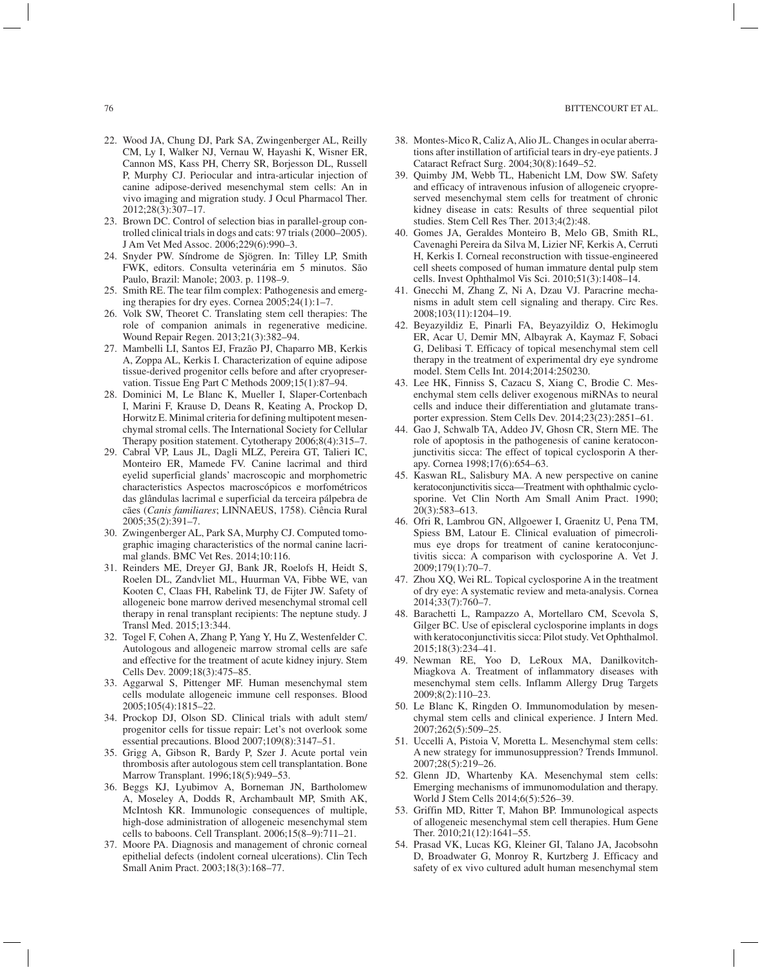- 22. Wood JA, Chung DJ, Park SA, Zwingenberger AL, Reilly CM, Ly I, Walker NJ, Vernau W, Hayashi K, Wisner ER, Cannon MS, Kass PH, Cherry SR, Borjesson DL, Russell P, Murphy CJ. Periocular and intra-articular injection of canine adipose-derived mesenchymal stem cells: An in vivo imaging and migration study. J Ocul Pharmacol Ther. 2012;28(3):307–17.
- 23. Brown DC. Control of selection bias in parallel-group controlled clinical trials in dogs and cats: 97 trials (2000–2005). J Am Vet Med Assoc. 2006;229(6):990–3.
- 24. Snyder PW. Síndrome de Sjögren. In: Tilley LP, Smith FWK, editors. Consulta veterinária em 5 minutos. São Paulo, Brazil: Manole; 2003. p. 1198–9.
- 25. Smith RE. The tear film complex: Pathogenesis and emerging therapies for dry eyes. Cornea 2005;24(1):1–7.
- 26. Volk SW, Theoret C. Translating stem cell therapies: The role of companion animals in regenerative medicine. Wound Repair Regen. 2013;21(3):382–94.
- 27. Mambelli LI, Santos EJ, Frazão PJ, Chaparro MB, Kerkis A, Zoppa AL, Kerkis I. Characterization of equine adipose tissue-derived progenitor cells before and after cryopreservation. Tissue Eng Part C Methods 2009;15(1):87-94.
- 28. Dominici M, Le Blanc K, Mueller I, Slaper-Cortenbach I, Marini F, Krause D, Deans R, Keating A, Prockop D, Horwitz E. Minimal criteria for defining multipotent mesenchymal stromal cells. The International Society for Cellular Therapy position statement. Cytotherapy 2006;8(4):315–7.
- 29. Cabral VP, Laus JL, Dagli MLZ, Pereira GT, Talieri IC, Monteiro ER, Mamede FV. Canine lacrimal and third eyelid superficial glands' macroscopic and morphometric characteristics Aspectos macroscópicos e morfométricos das glândulas lacrimal e superficial da terceira pálpebra de cães (*Canis familiares*; LINNAEUS, 1758). Ciência Rural 2005;35(2):391–7.
- 30. Zwingenberger AL, Park SA, Murphy CJ. Computed tomographic imaging characteristics of the normal canine lacrimal glands. BMC Vet Res. 2014;10:116.
- 31. Reinders ME, Dreyer GJ, Bank JR, Roelofs H, Heidt S, Roelen DL, Zandvliet ML, Huurman VA, Fibbe WE, van Kooten C, Claas FH, Rabelink TJ, de Fijter JW. Safety of allogeneic bone marrow derived mesenchymal stromal cell therapy in renal transplant recipients: The neptune study. J Transl Med. 2015;13:344.
- 32. Togel F, Cohen A, Zhang P, Yang Y, Hu Z, Westenfelder C. Autologous and allogeneic marrow stromal cells are safe and effective for the treatment of acute kidney injury. Stem Cells Dev. 2009;18(3):475–85.
- 33. Aggarwal S, Pittenger MF. Human mesenchymal stem cells modulate allogeneic immune cell responses. Blood 2005;105(4):1815–22.
- 34. Prockop DJ, Olson SD. Clinical trials with adult stem/ progenitor cells for tissue repair: Let's not overlook some essential precautions. Blood 2007;109(8):3147–51.
- 35. Grigg A, Gibson R, Bardy P, Szer J. Acute portal vein thrombosis after autologous stem cell transplantation. Bone Marrow Transplant. 1996;18(5):949–53.
- 36. Beggs KJ, Lyubimov A, Borneman JN, Bartholomew A, Moseley A, Dodds R, Archambault MP, Smith AK, McIntosh KR. Immunologic consequences of multiple, high-dose administration of allogeneic mesenchymal stem cells to baboons. Cell Transplant. 2006;15(8–9):711–21.
- 37. Moore PA. Diagnosis and management of chronic corneal epithelial defects (indolent corneal ulcerations). Clin Tech Small Anim Pract. 2003;18(3):168–77.
- 38. Montes-Mico R, Caliz A, Alio JL. Changes in ocular aberrations after instillation of artificial tears in dry-eye patients. J Cataract Refract Surg. 2004;30(8):1649–52.
- 39. Quimby JM, Webb TL, Habenicht LM, Dow SW. Safety and efficacy of intravenous infusion of allogeneic cryopreserved mesenchymal stem cells for treatment of chronic kidney disease in cats: Results of three sequential pilot studies. Stem Cell Res Ther. 2013;4(2):48.
- 40. Gomes JA, Geraldes Monteiro B, Melo GB, Smith RL, Cavenaghi Pereira da Silva M, Lizier NF, Kerkis A, Cerruti H, Kerkis I. Corneal reconstruction with tissue-engineered cell sheets composed of human immature dental pulp stem cells. Invest Ophthalmol Vis Sci. 2010;51(3):1408–14.
- 41. Gnecchi M, Zhang Z, Ni A, Dzau VJ. Paracrine mechanisms in adult stem cell signaling and therapy. Circ Res. 2008;103(11):1204–19.
- 42. Beyazyildiz E, Pinarli FA, Beyazyildiz O, Hekimoglu ER, Acar U, Demir MN, Albayrak A, Kaymaz F, Sobaci G, Delibasi T. Efficacy of topical mesenchymal stem cell therapy in the treatment of experimental dry eye syndrome model. Stem Cells Int. 2014;2014:250230.
- 43. Lee HK, Finniss S, Cazacu S, Xiang C, Brodie C. Mesenchymal stem cells deliver exogenous miRNAs to neural cells and induce their differentiation and glutamate transporter expression. Stem Cells Dev. 2014;23(23):2851–61.
- 44. Gao J, Schwalb TA, Addeo JV, Ghosn CR, Stern ME. The role of apoptosis in the pathogenesis of canine keratoconjunctivitis sicca: The effect of topical cyclosporin A therapy. Cornea 1998;17(6):654–63.
- 45. Kaswan RL, Salisbury MA. A new perspective on canine keratoconjunctivitis sicca—Treatment with ophthalmic cyclosporine. Vet Clin North Am Small Anim Pract. 1990; 20(3):583–613.
- 46. Ofri R, Lambrou GN, Allgoewer I, Graenitz U, Pena TM, Spiess BM, Latour E. Clinical evaluation of pimecrolimus eye drops for treatment of canine keratoconjunctivitis sicca: A comparison with cyclosporine A. Vet J. 2009;179(1):70–7.
- 47. Zhou XQ, Wei RL. Topical cyclosporine A in the treatment of dry eye: A systematic review and meta-analysis. Cornea 2014;33(7):760–7.
- 48. Barachetti L, Rampazzo A, Mortellaro CM, Scevola S, Gilger BC. Use of episcleral cyclosporine implants in dogs with keratoconjunctivitis sicca: Pilot study. Vet Ophthalmol. 2015;18(3):234–41.
- 49. Newman RE, Yoo D, LeRoux MA, Danilkovitch-Miagkova A. Treatment of inflammatory diseases with mesenchymal stem cells. Inflamm Allergy Drug Targets 2009;8(2):110–23.
- 50. Le Blanc K, Ringden O. Immunomodulation by mesenchymal stem cells and clinical experience. J Intern Med. 2007;262(5):509–25.
- 51. Uccelli A, Pistoia V, Moretta L. Mesenchymal stem cells: A new strategy for immunosuppression? Trends Immunol. 2007;28(5):219–26.
- 52. Glenn JD, Whartenby KA. Mesenchymal stem cells: Emerging mechanisms of immunomodulation and therapy. World J Stem Cells 2014;6(5):526–39.
- 53. Griffin MD, Ritter T, Mahon BP. Immunological aspects of allogeneic mesenchymal stem cell therapies. Hum Gene Ther. 2010;21(12):1641–55.
- 54. Prasad VK, Lucas KG, Kleiner GI, Talano JA, Jacobsohn D, Broadwater G, Monroy R, Kurtzberg J. Efficacy and safety of ex vivo cultured adult human mesenchymal stem